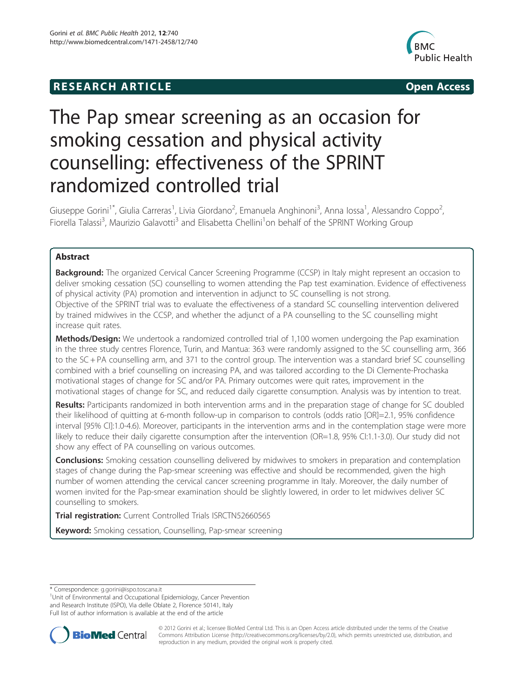## **RESEARCH ARTICLE Example 2014 The SEAR CH ACCESS**



# The Pap smear screening as an occasion for smoking cessation and physical activity counselling: effectiveness of the SPRINT randomized controlled trial

Giuseppe Gorini<sup>1\*</sup>, Giulia Carreras<sup>1</sup>, Livia Giordano<sup>2</sup>, Emanuela Anghinoni<sup>3</sup>, Anna Iossa<sup>1</sup>, Alessandro Coppo<sup>2</sup> , Fiorella Talassi<sup>3</sup>, Maurizio Galavotti<sup>3</sup> and Elisabetta Chellini<sup>1</sup>on behalf of the SPRINT Working Group

## Abstract

Background: The organized Cervical Cancer Screening Programme (CCSP) in Italy might represent an occasion to deliver smoking cessation (SC) counselling to women attending the Pap test examination. Evidence of effectiveness of physical activity (PA) promotion and intervention in adjunct to SC counselling is not strong. Objective of the SPRINT trial was to evaluate the effectiveness of a standard SC counselling intervention delivered by trained midwives in the CCSP, and whether the adjunct of a PA counselling to the SC counselling might increase quit rates.

**Methods/Design:** We undertook a randomized controlled trial of 1,100 women undergoing the Pap examination in the three study centres Florence, Turin, and Mantua: 363 were randomly assigned to the SC counselling arm, 366 to the SC + PA counselling arm, and 371 to the control group. The intervention was a standard brief SC counselling combined with a brief counselling on increasing PA, and was tailored according to the Di Clemente-Prochaska motivational stages of change for SC and/or PA. Primary outcomes were quit rates, improvement in the motivational stages of change for SC, and reduced daily cigarette consumption. Analysis was by intention to treat.

Results: Participants randomized in both intervention arms and in the preparation stage of change for SC doubled their likelihood of quitting at 6-month follow-up in comparison to controls (odds ratio [OR]=2.1, 95% confidence interval [95% CI]:1.0-4.6). Moreover, participants in the intervention arms and in the contemplation stage were more likely to reduce their daily cigarette consumption after the intervention (OR=1.8, 95% CI:1.1-3.0). Our study did not show any effect of PA counselling on various outcomes.

**Conclusions:** Smoking cessation counselling delivered by midwives to smokers in preparation and contemplation stages of change during the Pap-smear screening was effective and should be recommended, given the high number of women attending the cervical cancer screening programme in Italy. Moreover, the daily number of women invited for the Pap-smear examination should be slightly lowered, in order to let midwives deliver SC counselling to smokers.

Trial registration: Current Controlled Trials ISRCTN52660565

Keyword: Smoking cessation, Counselling, Pap-smear screening

<sup>1</sup>Unit of Environmental and Occupational Epidemiology, Cancer Prevention and Research Institute (ISPO), Via delle Oblate 2, Florence 50141, Italy Full list of author information is available at the end of the article



© 2012 Gorini et al.; licensee BioMed Central Ltd. This is an Open Access article distributed under the terms of the Creative Commons Attribution License [\(http://creativecommons.org/licenses/by/2.0\)](http://creativecommons.org/licenses/by/2.0), which permits unrestricted use, distribution, and reproduction in any medium, provided the original work is properly cited.

<sup>\*</sup> Correspondence: [g.gorini@ispo.toscana.it](mailto:g.gorini@ispo.toscana.it) <sup>1</sup>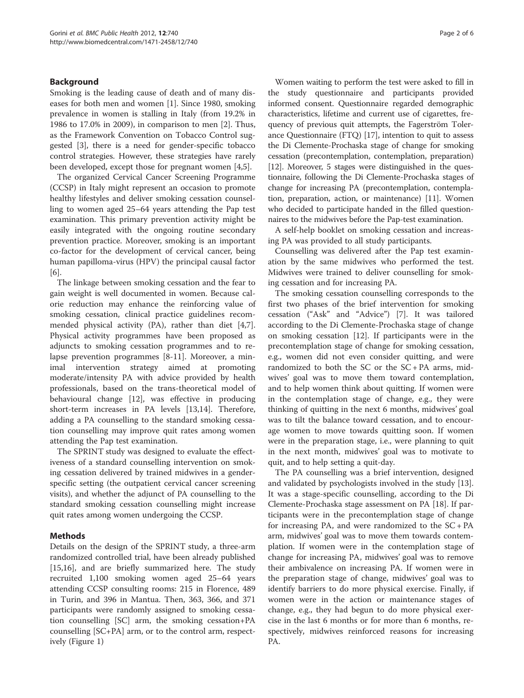## Background

Smoking is the leading cause of death and of many diseases for both men and women [[1\]](#page-5-0). Since 1980, smoking prevalence in women is stalling in Italy (from 19.2% in 1986 to 17.0% in 2009), in comparison to men [\[2\]](#page-5-0). Thus, as the Framework Convention on Tobacco Control suggested [\[3](#page-5-0)], there is a need for gender-specific tobacco control strategies. However, these strategies have rarely been developed, except those for pregnant women [\[4,5](#page-5-0)].

The organized Cervical Cancer Screening Programme (CCSP) in Italy might represent an occasion to promote healthy lifestyles and deliver smoking cessation counselling to women aged 25–64 years attending the Pap test examination. This primary prevention activity might be easily integrated with the ongoing routine secondary prevention practice. Moreover, smoking is an important co-factor for the development of cervical cancer, being human papilloma-virus (HPV) the principal causal factor [[6\]](#page-5-0).

The linkage between smoking cessation and the fear to gain weight is well documented in women. Because calorie reduction may enhance the reinforcing value of smoking cessation, clinical practice guidelines recommended physical activity (PA), rather than diet [\[4,7](#page-5-0)]. Physical activity programmes have been proposed as adjuncts to smoking cessation programmes and to relapse prevention programmes [\[8](#page-5-0)-[11\]](#page-5-0). Moreover, a minimal intervention strategy aimed at promoting moderate/intensity PA with advice provided by health professionals, based on the trans-theoretical model of behavioural change [\[12](#page-5-0)], was effective in producing short-term increases in PA levels [[13](#page-5-0),[14](#page-5-0)]. Therefore, adding a PA counselling to the standard smoking cessation counselling may improve quit rates among women attending the Pap test examination.

The SPRINT study was designed to evaluate the effectiveness of a standard counselling intervention on smoking cessation delivered by trained midwives in a genderspecific setting (the outpatient cervical cancer screening visits), and whether the adjunct of PA counselling to the standard smoking cessation counselling might increase quit rates among women undergoing the CCSP.

## Methods

Details on the design of the SPRINT study, a three-arm randomized controlled trial, have been already published [[15,16\]](#page-5-0), and are briefly summarized here. The study recruited 1,100 smoking women aged 25–64 years attending CCSP consulting rooms: 215 in Florence, 489 in Turin, and 396 in Mantua. Then, 363, 366, and 371 participants were randomly assigned to smoking cessation counselling [SC] arm, the smoking cessation+PA counselling [SC+PA] arm, or to the control arm, respectively (Figure [1\)](#page-2-0)

Women waiting to perform the test were asked to fill in the study questionnaire and participants provided informed consent. Questionnaire regarded demographic characteristics, lifetime and current use of cigarettes, frequency of previous quit attempts, the Fagerström Tolerance Questionnaire (FTQ) [\[17\]](#page-5-0), intention to quit to assess the Di Clemente-Prochaska stage of change for smoking cessation (precontemplation, contemplation, preparation) [[12](#page-5-0)]. Moreover, 5 stages were distinguished in the questionnaire, following the Di Clemente-Prochaska stages of change for increasing PA (precontemplation, contemplation, preparation, action, or maintenance) [[11](#page-5-0)]. Women who decided to participate handed in the filled questionnaires to the midwives before the Pap-test examination.

A self-help booklet on smoking cessation and increasing PA was provided to all study participants.

Counselling was delivered after the Pap test examination by the same midwives who performed the test. Midwives were trained to deliver counselling for smoking cessation and for increasing PA.

The smoking cessation counselling corresponds to the first two phases of the brief intervention for smoking cessation ("Ask" and "Advice") [[7\]](#page-5-0). It was tailored according to the Di Clemente-Prochaska stage of change on smoking cessation [[12\]](#page-5-0). If participants were in the precontemplation stage of change for smoking cessation, e.g., women did not even consider quitting, and were randomized to both the SC or the  $SC + PA$  arms, midwives' goal was to move them toward contemplation, and to help women think about quitting. If women were in the contemplation stage of change, e.g., they were thinking of quitting in the next 6 months, midwives' goal was to tilt the balance toward cessation, and to encourage women to move towards quitting soon. If women were in the preparation stage, i.e., were planning to quit in the next month, midwives' goal was to motivate to quit, and to help setting a quit-day.

The PA counselling was a brief intervention, designed and validated by psychologists involved in the study [\[13](#page-5-0)]. It was a stage-specific counselling, according to the Di Clemente-Prochaska stage assessment on PA [[18\]](#page-5-0). If participants were in the precontemplation stage of change for increasing PA, and were randomized to the  $SC + PA$ arm, midwives' goal was to move them towards contemplation. If women were in the contemplation stage of change for increasing PA, midwives' goal was to remove their ambivalence on increasing PA. If women were in the preparation stage of change, midwives' goal was to identify barriers to do more physical exercise. Finally, if women were in the action or maintenance stages of change, e.g., they had begun to do more physical exercise in the last 6 months or for more than 6 months, respectively, midwives reinforced reasons for increasing PA.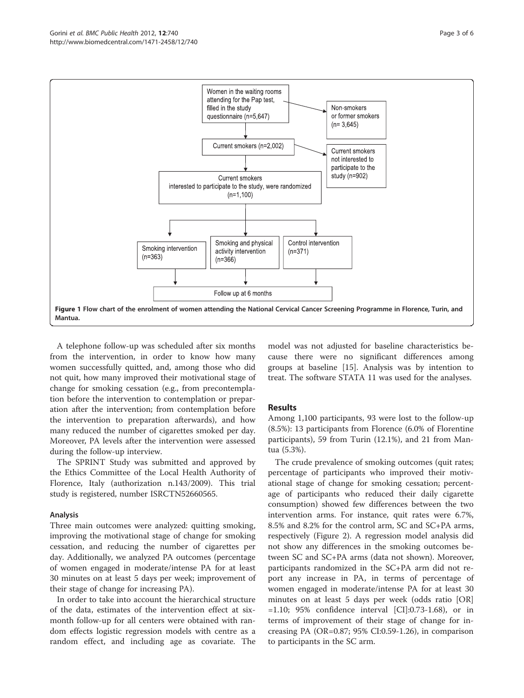<span id="page-2-0"></span>

A telephone follow-up was scheduled after six months from the intervention, in order to know how many women successfully quitted, and, among those who did not quit, how many improved their motivational stage of change for smoking cessation (e.g., from precontemplation before the intervention to contemplation or preparation after the intervention; from contemplation before the intervention to preparation afterwards), and how many reduced the number of cigarettes smoked per day. Moreover, PA levels after the intervention were assessed during the follow-up interview.

The SPRINT Study was submitted and approved by the Ethics Committee of the Local Health Authority of Florence, Italy (authorization n.143/2009). This trial study is registered, number ISRCTN52660565.

## Analysis

Three main outcomes were analyzed: quitting smoking, improving the motivational stage of change for smoking cessation, and reducing the number of cigarettes per day. Additionally, we analyzed PA outcomes (percentage of women engaged in moderate/intense PA for at least 30 minutes on at least 5 days per week; improvement of their stage of change for increasing PA).

In order to take into account the hierarchical structure of the data, estimates of the intervention effect at sixmonth follow-up for all centers were obtained with random effects logistic regression models with centre as a random effect, and including age as covariate. The

model was not adjusted for baseline characteristics because there were no significant differences among groups at baseline [\[15](#page-5-0)]. Analysis was by intention to treat. The software STATA 11 was used for the analyses.

## Results

Among 1,100 participants, 93 were lost to the follow-up (8.5%): 13 participants from Florence (6.0% of Florentine participants), 59 from Turin (12.1%), and 21 from Mantua (5.3%).

The crude prevalence of smoking outcomes (quit rates; percentage of participants who improved their motivational stage of change for smoking cessation; percentage of participants who reduced their daily cigarette consumption) showed few differences between the two intervention arms. For instance, quit rates were 6.7%, 8.5% and 8.2% for the control arm, SC and SC+PA arms, respectively (Figure [2](#page-3-0)). A regression model analysis did not show any differences in the smoking outcomes between SC and SC+PA arms (data not shown). Moreover, participants randomized in the SC+PA arm did not report any increase in PA, in terms of percentage of women engaged in moderate/intense PA for at least 30 minutes on at least 5 days per week (odds ratio [OR] =1.10; 95% confidence interval [CI]:0.73-1.68), or in terms of improvement of their stage of change for increasing PA (OR=0.87; 95% CI:0.59-1.26), in comparison to participants in the SC arm.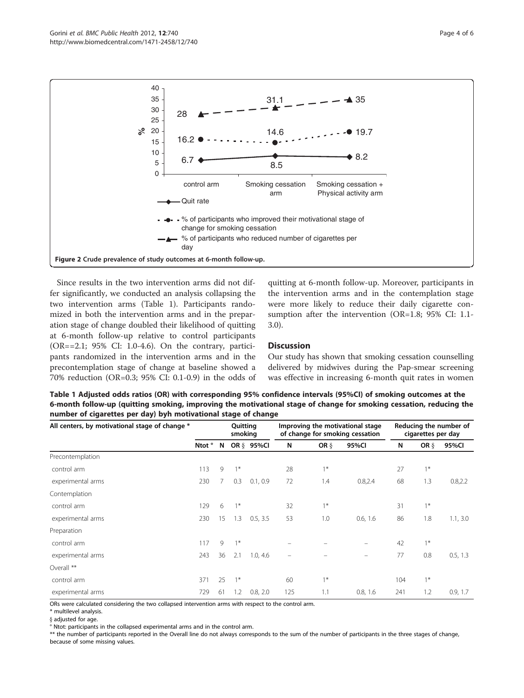<span id="page-3-0"></span>

Since results in the two intervention arms did not differ significantly, we conducted an analysis collapsing the two intervention arms (Table 1). Participants randomized in both the intervention arms and in the preparation stage of change doubled their likelihood of quitting at 6-month follow-up relative to control participants (OR==2.1; 95% CI: 1.0-4.6). On the contrary, participants randomized in the intervention arms and in the precontemplation stage of change at baseline showed a 70% reduction (OR=0.3; 95% CI: 0.1-0.9) in the odds of

quitting at 6-month follow-up. Moreover, participants in the intervention arms and in the contemplation stage were more likely to reduce their daily cigarette consumption after the intervention (OR=1.8; 95% CI: 1.1- 3.0).

## **Discussion**

Our study has shown that smoking cessation counselling delivered by midwives during the Pap-smear screening was effective in increasing 6-month quit rates in women

Table 1 Adjusted odds ratios (OR) with corresponding 95% confidence intervals (95%CI) of smoking outcomes at the 6-month follow-up (quitting smoking, improving the motivational stage of change for smoking cessation, reducing the number of cigarettes per day) byh motivational stage of change

| All centers, by motivational stage of change * | Quitting<br>smoking |    |      | Improving the motivational stage<br>of change for smoking cessation |          |         | Reducing the number of<br>cigarettes per day |     |         |          |
|------------------------------------------------|---------------------|----|------|---------------------------------------------------------------------|----------|---------|----------------------------------------------|-----|---------|----------|
|                                                | Ntot °              | N  |      | OR § 95%CI                                                          | N        | OR $\S$ | 95%CI                                        | N   | OR $\S$ | 95%CI    |
| Precontemplation                               |                     |    |      |                                                                     |          |         |                                              |     |         |          |
| control arm                                    | 113                 | 9  | $1*$ |                                                                     | 28       | $1*$    |                                              | 27  | $1*$    |          |
| experimental arms                              | 230                 | 7  | 0.3  | 0.1, 0.9                                                            | 72       | 1.4     | 0.8,2.4                                      | 68  | 1.3     | 0.8, 2.2 |
| Contemplation                                  |                     |    |      |                                                                     |          |         |                                              |     |         |          |
| control arm                                    | 129                 | 6  | $1*$ |                                                                     | 32       | $1*$    |                                              | 31  | $1*$    |          |
| experimental arms                              | 230                 | 15 | 1.3  | 0.5, 3.5                                                            | 53       | 1.0     | 0.6, 1.6                                     | 86  | 1.8     | 1.1, 3.0 |
| Preparation                                    |                     |    |      |                                                                     |          |         |                                              |     |         |          |
| control arm                                    | 117                 | 9  | $1*$ |                                                                     |          |         |                                              | 42  | $1*$    |          |
| experimental arms                              | 243                 | 36 | 2.1  | 1.0, 4.6                                                            | $\equiv$ |         | $\equiv$                                     | 77  | 0.8     | 0.5, 1.3 |
| Overall **                                     |                     |    |      |                                                                     |          |         |                                              |     |         |          |
| control arm                                    | 371                 | 25 | $1*$ |                                                                     | 60       | $1*$    |                                              | 104 | $1*$    |          |
| experimental arms                              | 729                 | 61 | 1.2  | 0.8, 2.0                                                            | 125      | 1.1     | 0.8, 1.6                                     | 241 | 1.2     | 0.9, 1.7 |

ORs were calculated considering the two collapsed intervention arms with respect to the control arm.

\* multilevel analysis.

§ adjusted for age.

° Ntot: participants in the collapsed experimental arms and in the control arm.

\*\* the number of participants reported in the Overall line do not always corresponds to the sum of the number of participants in the three stages of change, because of some missing values.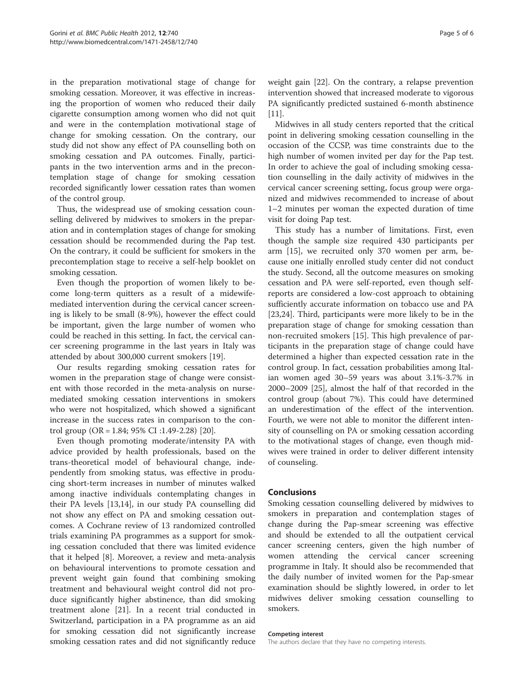in the preparation motivational stage of change for smoking cessation. Moreover, it was effective in increasing the proportion of women who reduced their daily cigarette consumption among women who did not quit and were in the contemplation motivational stage of change for smoking cessation. On the contrary, our study did not show any effect of PA counselling both on smoking cessation and PA outcomes. Finally, participants in the two intervention arms and in the precontemplation stage of change for smoking cessation recorded significantly lower cessation rates than women of the control group.

Thus, the widespread use of smoking cessation counselling delivered by midwives to smokers in the preparation and in contemplation stages of change for smoking cessation should be recommended during the Pap test. On the contrary, it could be sufficient for smokers in the precontemplation stage to receive a self-help booklet on smoking cessation.

Even though the proportion of women likely to become long-term quitters as a result of a midewifemediated intervention during the cervical cancer screening is likely to be small (8-9%), however the effect could be important, given the large number of women who could be reached in this setting. In fact, the cervical cancer screening programme in the last years in Italy was attended by about 300,000 current smokers [\[19\]](#page-5-0).

Our results regarding smoking cessation rates for women in the preparation stage of change were consistent with those recorded in the meta-analysis on nursemediated smoking cessation interventions in smokers who were not hospitalized, which showed a significant increase in the success rates in comparison to the control group (OR = 1.84; 95% CI :1.49-2.28) [\[20\]](#page-5-0).

Even though promoting moderate/intensity PA with advice provided by health professionals, based on the trans-theoretical model of behavioural change, independently from smoking status, was effective in producing short-term increases in number of minutes walked among inactive individuals contemplating changes in their PA levels [[13,14\]](#page-5-0), in our study PA counselling did not show any effect on PA and smoking cessation outcomes. A Cochrane review of 13 randomized controlled trials examining PA programmes as a support for smoking cessation concluded that there was limited evidence that it helped [[8\]](#page-5-0). Moreover, a review and meta-analysis on behavioural interventions to promote cessation and prevent weight gain found that combining smoking treatment and behavioural weight control did not produce significantly higher abstinence, than did smoking treatment alone [[21\]](#page-5-0). In a recent trial conducted in Switzerland, participation in a PA programme as an aid for smoking cessation did not significantly increase smoking cessation rates and did not significantly reduce

weight gain [[22\]](#page-5-0). On the contrary, a relapse prevention intervention showed that increased moderate to vigorous PA significantly predicted sustained 6-month abstinence [[11\]](#page-5-0).

Midwives in all study centers reported that the critical point in delivering smoking cessation counselling in the occasion of the CCSP, was time constraints due to the high number of women invited per day for the Pap test. In order to achieve the goal of including smoking cessation counselling in the daily activity of midwives in the cervical cancer screening setting, focus group were organized and midwives recommended to increase of about 1–2 minutes per woman the expected duration of time visit for doing Pap test.

This study has a number of limitations. First, even though the sample size required 430 participants per arm [\[15\]](#page-5-0), we recruited only 370 women per arm, because one initially enrolled study center did not conduct the study. Second, all the outcome measures on smoking cessation and PA were self-reported, even though selfreports are considered a low-cost approach to obtaining sufficiently accurate information on tobacco use and PA [[23,24\]](#page-5-0). Third, participants were more likely to be in the preparation stage of change for smoking cessation than non-recruited smokers [\[15](#page-5-0)]. This high prevalence of participants in the preparation stage of change could have determined a higher than expected cessation rate in the control group. In fact, cessation probabilities among Italian women aged 30–59 years was about 3.1%-3.7% in 2000–2009 [[25\]](#page-5-0), almost the half of that recorded in the control group (about 7%). This could have determined an underestimation of the effect of the intervention. Fourth, we were not able to monitor the different intensity of counselling on PA or smoking cessation according to the motivational stages of change, even though midwives were trained in order to deliver different intensity of counseling.

## Conclusions

Smoking cessation counselling delivered by midwives to smokers in preparation and contemplation stages of change during the Pap-smear screening was effective and should be extended to all the outpatient cervical cancer screening centers, given the high number of women attending the cervical cancer screening programme in Italy. It should also be recommended that the daily number of invited women for the Pap-smear examination should be slightly lowered, in order to let midwives deliver smoking cessation counselling to smokers.

#### Competing interest

The authors declare that they have no competing interests.